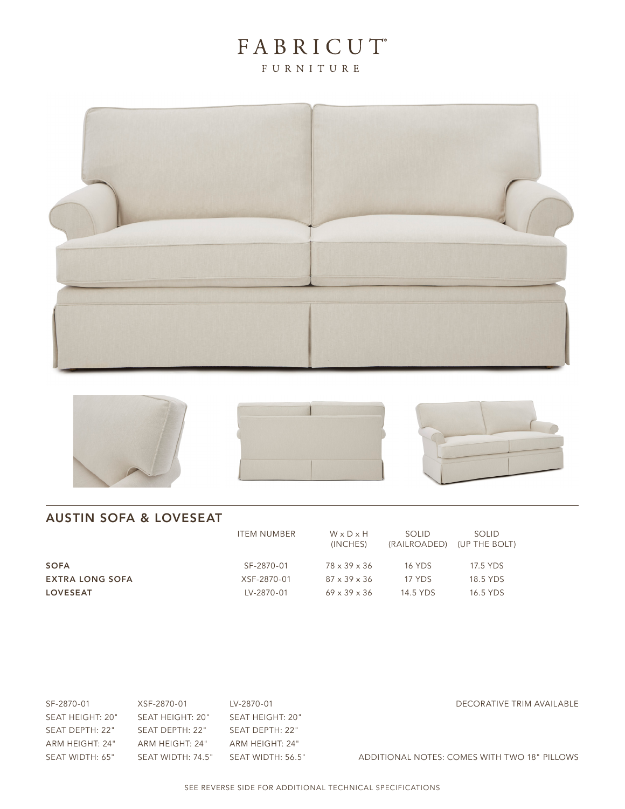# FABRICUT®

FURNITURE









## AUSTIN SOFA & LOVESEAT

|                        | <b>ITEM NUMBER</b> | WxDxH<br>(INCHES)        | SOLID.<br>(RAILROADED) | <b>SOLID</b><br>(UP THE BOLT) |
|------------------------|--------------------|--------------------------|------------------------|-------------------------------|
| <b>SOFA</b>            | SF-2870-01         | 78 x 39 x 36             | <b>16 YDS</b>          | 17.5 YDS                      |
| <b>EXTRA LONG SOFA</b> | XSF-2870-01        | $87 \times 39 \times 36$ | 17 YDS                 | 18.5 YDS                      |
| <b>LOVESEAT</b>        | LV-2870-01         | $69 \times 39 \times 36$ | 14.5 YDS               | 16.5 YDS                      |

| SF-2870-01       | XSF-2870-01       | LV-2870-01        |
|------------------|-------------------|-------------------|
| SEAT HEIGHT: 20" | SEAT HEIGHT: 20"  | SEAT HEIGHT: 20"  |
| SEAT DEPTH: 22"  | SFAT DEPTH: 22"   | SEAT DEPTH: 22"   |
| ARM HEIGHT: 24"  | ARM HEIGHT: 24"   | ARM HEIGHT: 24"   |
| SEAT WIDTH: 65"  | SEAT WIDTH: 74.5" | SEAT WIDTH: 56.5" |

DECORATIVE TRIM AVAILABLE

ADDITIONAL NOTES: COMES WITH TWO 18" PILLOWS